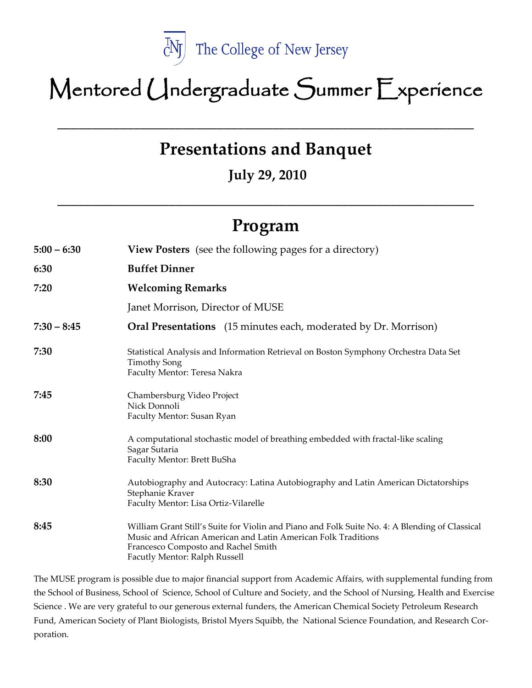

# Mentored Undergraduate Summer Experience

**Presentations and Banquet**

\_\_\_\_\_\_\_\_\_\_\_\_\_\_\_\_\_\_\_\_\_\_\_\_\_\_\_\_\_\_\_\_\_\_\_\_\_\_\_\_\_\_\_\_\_\_\_\_\_\_\_\_\_\_\_\_\_\_\_\_

**July 29, 2010** 

## **Program**

**\_\_\_\_\_\_\_\_\_\_\_\_\_\_\_\_\_\_\_\_\_\_\_\_\_\_\_\_\_\_\_\_\_\_\_\_\_\_\_\_\_\_\_\_\_\_\_\_\_\_\_\_\_\_\_\_\_\_\_\_**

| $5:00 - 6:30$ | <b>View Posters</b> (see the following pages for a directory)                                                                                                                                                                           |
|---------------|-----------------------------------------------------------------------------------------------------------------------------------------------------------------------------------------------------------------------------------------|
| 6:30          | <b>Buffet Dinner</b>                                                                                                                                                                                                                    |
| 7:20          | <b>Welcoming Remarks</b>                                                                                                                                                                                                                |
|               | Janet Morrison, Director of MUSE                                                                                                                                                                                                        |
| $7:30 - 8:45$ | <b>Oral Presentations</b> (15 minutes each, moderated by Dr. Morrison)                                                                                                                                                                  |
| 7:30          | Statistical Analysis and Information Retrieval on Boston Symphony Orchestra Data Set<br><b>Timothy Song</b><br>Faculty Mentor: Teresa Nakra                                                                                             |
| 7:45          | Chambersburg Video Project<br>Nick Donnoli<br>Faculty Mentor: Susan Ryan                                                                                                                                                                |
| 8:00          | A computational stochastic model of breathing embedded with fractal-like scaling<br>Sagar Sutaria<br>Faculty Mentor: Brett BuSha                                                                                                        |
| 8:30          | Autobiography and Autocracy: Latina Autobiography and Latin American Dictatorships<br>Stephanie Kraver<br>Faculty Mentor: Lisa Ortiz-Vilarelle                                                                                          |
| 8:45          | William Grant Still's Suite for Violin and Piano and Folk Suite No. 4: A Blending of Classical<br>Music and African American and Latin American Folk Traditions<br>Francesco Composto and Rachel Smith<br>Facutly Mentor: Ralph Russell |

The MUSE program is possible due to major financial support from Academic Affairs, with supplemental funding from the School of Business, School of Science, School of Culture and Society, and the School of Nursing, Health and Exercise Science . We are very grateful to our generous external funders, the American Chemical Society Petroleum Research Fund, American Society of Plant Biologists, Bristol Myers Squibb, the National Science Foundation, and Research Corporation.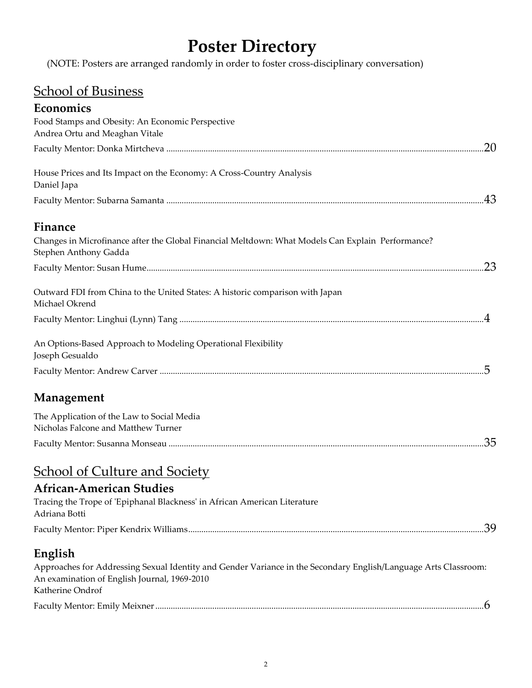## **Poster Directory**

(NOTE: Posters are arranged randomly in order to foster cross-disciplinary conversation)

### School of Business

| Economics                                                                                                                                                                                      |     |
|------------------------------------------------------------------------------------------------------------------------------------------------------------------------------------------------|-----|
| Food Stamps and Obesity: An Economic Perspective<br>Andrea Ortu and Meaghan Vitale                                                                                                             |     |
|                                                                                                                                                                                                | .20 |
| House Prices and Its Impact on the Economy: A Cross-Country Analysis<br>Daniel Japa                                                                                                            |     |
|                                                                                                                                                                                                |     |
| Finance                                                                                                                                                                                        |     |
| Changes in Microfinance after the Global Financial Meltdown: What Models Can Explain Performance?<br>Stephen Anthony Gadda                                                                     |     |
|                                                                                                                                                                                                | .23 |
| Outward FDI from China to the United States: A historic comparison with Japan<br>Michael Okrend                                                                                                |     |
|                                                                                                                                                                                                |     |
| An Options-Based Approach to Modeling Operational Flexibility<br>Joseph Gesualdo                                                                                                               |     |
|                                                                                                                                                                                                |     |
| Management                                                                                                                                                                                     |     |
| The Application of the Law to Social Media<br>Nicholas Falcone and Matthew Turner                                                                                                              |     |
|                                                                                                                                                                                                | 35  |
| <b>School of Culture and Society</b>                                                                                                                                                           |     |
| <b>African-American Studies</b><br>Tracing the Trope of 'Epiphanal Blackness' in African American Literature<br>Adriana Botti                                                                  |     |
|                                                                                                                                                                                                |     |
| English<br>Approaches for Addressing Sexual Identity and Gender Variance in the Secondary English/Language Arts Classroom:<br>An examination of English Journal, 1969-2010<br>Katherine Ondrof |     |
|                                                                                                                                                                                                |     |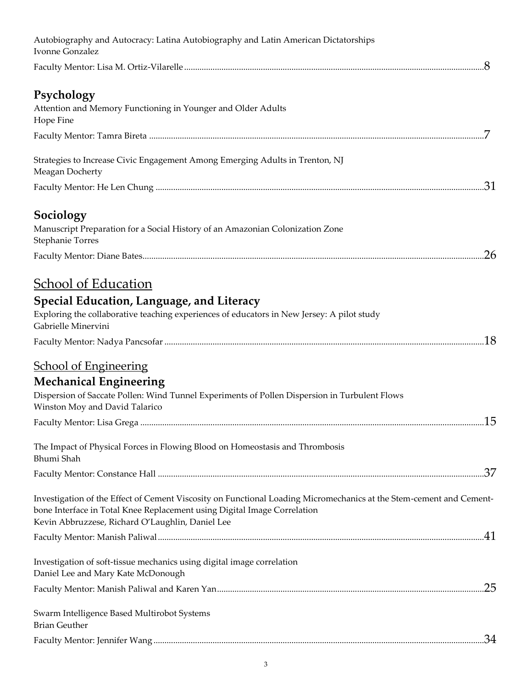| Autobiography and Autocracy: Latina Autobiography and Latin American Dictatorships<br>Ivonne Gonzalez                                                                                                                                               |
|-----------------------------------------------------------------------------------------------------------------------------------------------------------------------------------------------------------------------------------------------------|
|                                                                                                                                                                                                                                                     |
| Psychology<br>Attention and Memory Functioning in Younger and Older Adults<br>Hope Fine                                                                                                                                                             |
|                                                                                                                                                                                                                                                     |
| Strategies to Increase Civic Engagement Among Emerging Adults in Trenton, NJ<br>Meagan Docherty                                                                                                                                                     |
|                                                                                                                                                                                                                                                     |
| Sociology<br>Manuscript Preparation for a Social History of an Amazonian Colonization Zone<br>Stephanie Torres                                                                                                                                      |
| .26                                                                                                                                                                                                                                                 |
| <b>School of Education</b>                                                                                                                                                                                                                          |
| Special Education, Language, and Literacy<br>Exploring the collaborative teaching experiences of educators in New Jersey: A pilot study<br>Gabrielle Minervini                                                                                      |
|                                                                                                                                                                                                                                                     |
| <b>School of Engineering</b>                                                                                                                                                                                                                        |
| <b>Mechanical Engineering</b><br>Dispersion of Saccate Pollen: Wind Tunnel Experiments of Pollen Dispersion in Turbulent Flows<br>Winston Moy and David Talarico                                                                                    |
|                                                                                                                                                                                                                                                     |
| The Impact of Physical Forces in Flowing Blood on Homeostasis and Thrombosis<br>Bhumi Shah                                                                                                                                                          |
|                                                                                                                                                                                                                                                     |
| Investigation of the Effect of Cement Viscosity on Functional Loading Micromechanics at the Stem-cement and Cement-<br>bone Interface in Total Knee Replacement using Digital Image Correlation<br>Kevin Abbruzzese, Richard O'Laughlin, Daniel Lee |
|                                                                                                                                                                                                                                                     |
| Investigation of soft-tissue mechanics using digital image correlation<br>Daniel Lee and Mary Kate McDonough                                                                                                                                        |
| .25                                                                                                                                                                                                                                                 |
| Swarm Intelligence Based Multirobot Systems<br><b>Brian Geuther</b>                                                                                                                                                                                 |
|                                                                                                                                                                                                                                                     |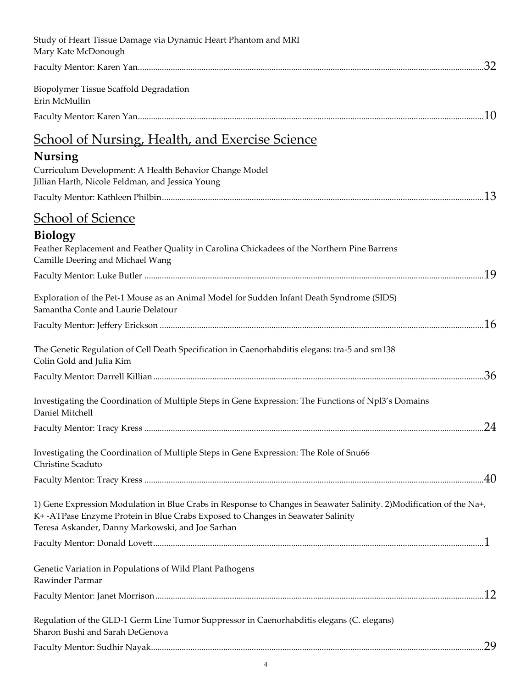| Study of Heart Tissue Damage via Dynamic Heart Phantom and MRI<br>Mary Kate McDonough                                                                                                                                                                      |
|------------------------------------------------------------------------------------------------------------------------------------------------------------------------------------------------------------------------------------------------------------|
| .32                                                                                                                                                                                                                                                        |
| Biopolymer Tissue Scaffold Degradation<br>Erin McMullin                                                                                                                                                                                                    |
|                                                                                                                                                                                                                                                            |
| <u>School of Nursing, Health, and Exercise Science</u>                                                                                                                                                                                                     |
| <b>Nursing</b>                                                                                                                                                                                                                                             |
| Curriculum Development: A Health Behavior Change Model<br>Jillian Harth, Nicole Feldman, and Jessica Young                                                                                                                                                 |
| .13                                                                                                                                                                                                                                                        |
| <b>School of Science</b>                                                                                                                                                                                                                                   |
| <b>Biology</b>                                                                                                                                                                                                                                             |
| Feather Replacement and Feather Quality in Carolina Chickadees of the Northern Pine Barrens<br>Camille Deering and Michael Wang                                                                                                                            |
| 19                                                                                                                                                                                                                                                         |
| Exploration of the Pet-1 Mouse as an Animal Model for Sudden Infant Death Syndrome (SIDS)<br>Samantha Conte and Laurie Delatour                                                                                                                            |
|                                                                                                                                                                                                                                                            |
| The Genetic Regulation of Cell Death Specification in Caenorhabditis elegans: tra-5 and sm138<br>Colin Gold and Julia Kim                                                                                                                                  |
|                                                                                                                                                                                                                                                            |
| Investigating the Coordination of Multiple Steps in Gene Expression: The Functions of Npl3's Domains<br>Daniel Mitchell                                                                                                                                    |
|                                                                                                                                                                                                                                                            |
| Investigating the Coordination of Multiple Steps in Gene Expression: The Role of Snu66<br>Christine Scaduto                                                                                                                                                |
|                                                                                                                                                                                                                                                            |
| 1) Gene Expression Modulation in Blue Crabs in Response to Changes in Seawater Salinity. 2) Modification of the Na+,<br>K+-ATPase Enzyme Protein in Blue Crabs Exposed to Changes in Seawater Salinity<br>Teresa Askander, Danny Markowski, and Joe Sarhan |
|                                                                                                                                                                                                                                                            |
| Genetic Variation in Populations of Wild Plant Pathogens<br>Rawinder Parmar                                                                                                                                                                                |
| .12                                                                                                                                                                                                                                                        |
| Regulation of the GLD-1 Germ Line Tumor Suppressor in Caenorhabditis elegans (C. elegans)<br>Sharon Bushi and Sarah DeGenova                                                                                                                               |
|                                                                                                                                                                                                                                                            |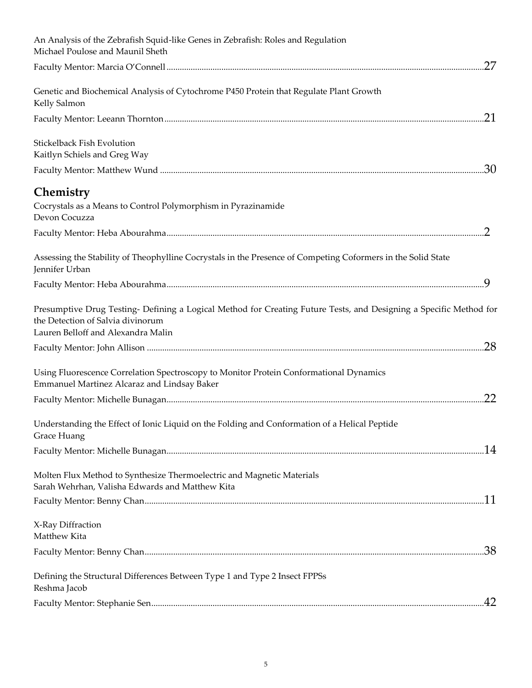| An Analysis of the Zebrafish Squid-like Genes in Zebrafish: Roles and Regulation<br>Michael Poulose and Maunil Sheth                                                                          |
|-----------------------------------------------------------------------------------------------------------------------------------------------------------------------------------------------|
| .27                                                                                                                                                                                           |
| Genetic and Biochemical Analysis of Cytochrome P450 Protein that Regulate Plant Growth<br>Kelly Salmon                                                                                        |
| .21                                                                                                                                                                                           |
| Stickelback Fish Evolution<br>Kaitlyn Schiels and Greg Way                                                                                                                                    |
| .30                                                                                                                                                                                           |
| Chemistry<br>Cocrystals as a Means to Control Polymorphism in Pyrazinamide<br>Devon Cocuzza                                                                                                   |
|                                                                                                                                                                                               |
| Assessing the Stability of Theophylline Cocrystals in the Presence of Competing Coformers in the Solid State<br>Jennifer Urban                                                                |
|                                                                                                                                                                                               |
| Presumptive Drug Testing- Defining a Logical Method for Creating Future Tests, and Designing a Specific Method for<br>the Detection of Salvia divinorum<br>Lauren Belloff and Alexandra Malin |
| .28                                                                                                                                                                                           |
| Using Fluorescence Correlation Spectroscopy to Monitor Protein Conformational Dynamics<br>Emmanuel Martinez Alcaraz and Lindsay Baker                                                         |
| 22                                                                                                                                                                                            |
| Understanding the Effect of Ionic Liquid on the Folding and Conformation of a Helical Peptide<br>Grace Huang                                                                                  |
|                                                                                                                                                                                               |
| Molten Flux Method to Synthesize Thermoelectric and Magnetic Materials<br>Sarah Wehrhan, Valisha Edwards and Matthew Kita                                                                     |
|                                                                                                                                                                                               |
| X-Ray Diffraction<br>Matthew Kita                                                                                                                                                             |
|                                                                                                                                                                                               |
| Defining the Structural Differences Between Type 1 and Type 2 Insect FPPSs<br>Reshma Jacob                                                                                                    |
| .42                                                                                                                                                                                           |